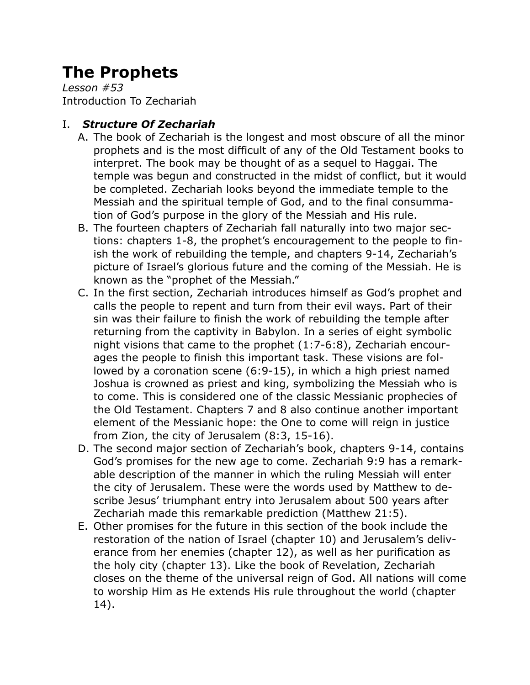# **The Prophets**

*Lesson #53* Introduction To Zechariah

## I. *Structure Of Zechariah*

- A. The book of Zechariah is the longest and most obscure of all the minor prophets and is the most difficult of any of the Old Testament books to interpret. The book may be thought of as a sequel to Haggai. The temple was begun and constructed in the midst of conflict, but it would be completed. Zechariah looks beyond the immediate temple to the Messiah and the spiritual temple of God, and to the final consummation of God's purpose in the glory of the Messiah and His rule.
- B. The fourteen chapters of Zechariah fall naturally into two major sections: chapters 1-8, the prophet's encouragement to the people to finish the work of rebuilding the temple, and chapters 9-14, Zechariah's picture of Israel's glorious future and the coming of the Messiah. He is known as the "prophet of the Messiah."
- C. In the first section, Zechariah introduces himself as God's prophet and calls the people to repent and turn from their evil ways. Part of their sin was their failure to finish the work of rebuilding the temple after returning from the captivity in Babylon. In a series of eight symbolic night visions that came to the prophet (1:7-6:8), Zechariah encourages the people to finish this important task. These visions are followed by a coronation scene (6:9-15), in which a high priest named Joshua is crowned as priest and king, symbolizing the Messiah who is to come. This is considered one of the classic Messianic prophecies of the Old Testament. Chapters 7 and 8 also continue another important element of the Messianic hope: the One to come will reign in justice from Zion, the city of Jerusalem (8:3, 15-16).
- D. The second major section of Zechariah's book, chapters 9-14, contains God's promises for the new age to come. Zechariah 9:9 has a remarkable description of the manner in which the ruling Messiah will enter the city of Jerusalem. These were the words used by Matthew to describe Jesus' triumphant entry into Jerusalem about 500 years after Zechariah made this remarkable prediction (Matthew 21:5).
- E. Other promises for the future in this section of the book include the restoration of the nation of Israel (chapter 10) and Jerusalem's deliverance from her enemies (chapter 12), as well as her purification as the holy city (chapter 13). Like the book of Revelation, Zechariah closes on the theme of the universal reign of God. All nations will come to worship Him as He extends His rule throughout the world (chapter 14).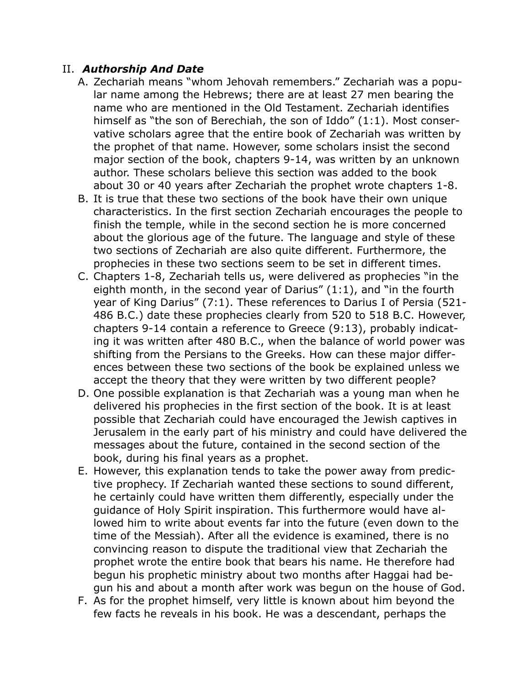### II. *Authorship And Date*

- A. Zechariah means "whom Jehovah remembers." Zechariah was a popular name among the Hebrews; there are at least 27 men bearing the name who are mentioned in the Old Testament. Zechariah identifies himself as "the son of Berechiah, the son of Iddo" (1:1). Most conservative scholars agree that the entire book of Zechariah was written by the prophet of that name. However, some scholars insist the second major section of the book, chapters 9-14, was written by an unknown author. These scholars believe this section was added to the book about 30 or 40 years after Zechariah the prophet wrote chapters 1-8.
- B. It is true that these two sections of the book have their own unique characteristics. In the first section Zechariah encourages the people to finish the temple, while in the second section he is more concerned about the glorious age of the future. The language and style of these two sections of Zechariah are also quite different. Furthermore, the prophecies in these two sections seem to be set in different times.
- C. Chapters 1-8, Zechariah tells us, were delivered as prophecies "in the eighth month, in the second year of Darius" (1:1), and "in the fourth year of King Darius" (7:1). These references to Darius I of Persia (521- 486 B.C.) date these prophecies clearly from 520 to 518 B.C. However, chapters 9-14 contain a reference to Greece (9:13), probably indicating it was written after 480 B.C., when the balance of world power was shifting from the Persians to the Greeks. How can these major differences between these two sections of the book be explained unless we accept the theory that they were written by two different people?
- D. One possible explanation is that Zechariah was a young man when he delivered his prophecies in the first section of the book. It is at least possible that Zechariah could have encouraged the Jewish captives in Jerusalem in the early part of his ministry and could have delivered the messages about the future, contained in the second section of the book, during his final years as a prophet.
- E. However, this explanation tends to take the power away from predictive prophecy. If Zechariah wanted these sections to sound different, he certainly could have written them differently, especially under the guidance of Holy Spirit inspiration. This furthermore would have allowed him to write about events far into the future (even down to the time of the Messiah). After all the evidence is examined, there is no convincing reason to dispute the traditional view that Zechariah the prophet wrote the entire book that bears his name. He therefore had begun his prophetic ministry about two months after Haggai had begun his and about a month after work was begun on the house of God.
- F. As for the prophet himself, very little is known about him beyond the few facts he reveals in his book. He was a descendant, perhaps the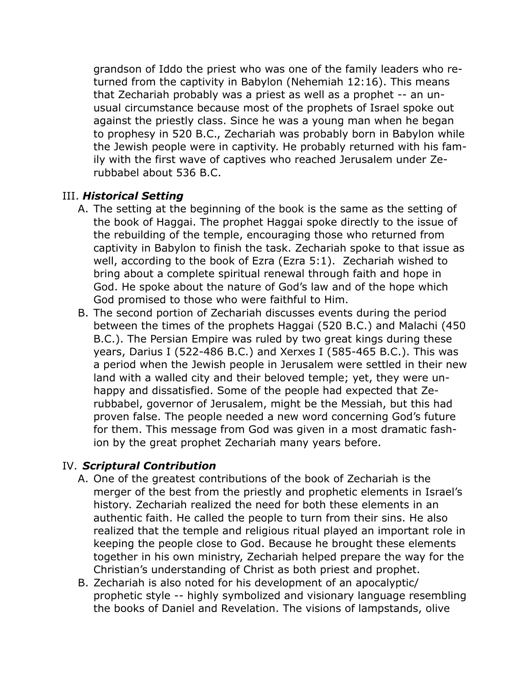grandson of Iddo the priest who was one of the family leaders who returned from the captivity in Babylon (Nehemiah 12:16). This means that Zechariah probably was a priest as well as a prophet -- an unusual circumstance because most of the prophets of Israel spoke out against the priestly class. Since he was a young man when he began to prophesy in 520 B.C., Zechariah was probably born in Babylon while the Jewish people were in captivity. He probably returned with his family with the first wave of captives who reached Jerusalem under Zerubbabel about 536 B.C.

### III. *Historical Setting*

- A. The setting at the beginning of the book is the same as the setting of the book of Haggai. The prophet Haggai spoke directly to the issue of the rebuilding of the temple, encouraging those who returned from captivity in Babylon to finish the task. Zechariah spoke to that issue as well, according to the book of Ezra (Ezra 5:1). Zechariah wished to bring about a complete spiritual renewal through faith and hope in God. He spoke about the nature of God's law and of the hope which God promised to those who were faithful to Him.
- B. The second portion of Zechariah discusses events during the period between the times of the prophets Haggai (520 B.C.) and Malachi (450 B.C.). The Persian Empire was ruled by two great kings during these years, Darius I (522-486 B.C.) and Xerxes I (585-465 B.C.). This was a period when the Jewish people in Jerusalem were settled in their new land with a walled city and their beloved temple; yet, they were unhappy and dissatisfied. Some of the people had expected that Zerubbabel, governor of Jerusalem, might be the Messiah, but this had proven false. The people needed a new word concerning God's future for them. This message from God was given in a most dramatic fashion by the great prophet Zechariah many years before.

### IV. *Scriptural Contribution*

- A. One of the greatest contributions of the book of Zechariah is the merger of the best from the priestly and prophetic elements in Israel's history. Zechariah realized the need for both these elements in an authentic faith. He called the people to turn from their sins. He also realized that the temple and religious ritual played an important role in keeping the people close to God. Because he brought these elements together in his own ministry, Zechariah helped prepare the way for the Christian's understanding of Christ as both priest and prophet.
- B. Zechariah is also noted for his development of an apocalyptic/ prophetic style -- highly symbolized and visionary language resembling the books of Daniel and Revelation. The visions of lampstands, olive